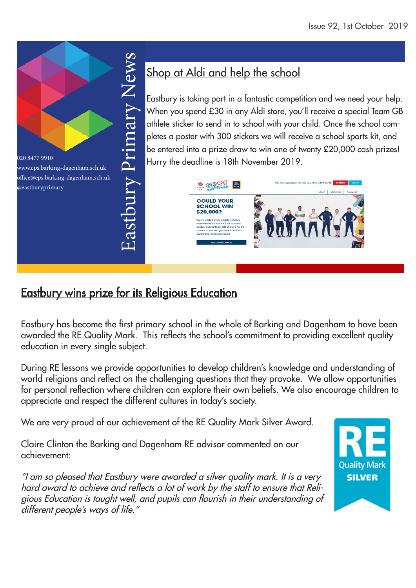

# Shop at Aldi and help the school

Eastbury is taking part in a fantastic competition and we need your help. When you spend £30 in any Aldi store, you'll receive a special Team GB athlete sticker to send in to school with your child. Once the school completes a poster with 300 stickers we will receive a school sports kit, and be entered into a prize draw to win one of twenty £20,000 cash prizes! Hurry the deadline is 18th November 2019.



# Eastbury wins prize for its Religious Education

Eastbury has become the first primary school in the whole of Barking and Dagenham to have been awarded the RE Quality Mark. This reflects the school's commitment to providing excellent quality education in every single subject.

During RE lessons we provide opportunities to develop children's knowledge and understanding of world religions and reflect on the challenging questions that they provoke. We allow opportunities for personal reflection where children can explore their own beliefs. We also encourage children to appreciate and respect the different cultures in today's society.

We are very proud of our achievement of the RE Quality Mark Silver Award.

Claire Clinton the Barking and Dagenham RE advisor commented on our achievement:

"I am so pleased that Eastbury were awarded a silver quality mark. It is a very hard award to achieve and reflects a lot of work by the staff to ensure that Religious Education is taught well, and pupils can flourish in their understanding of different people's ways of life."

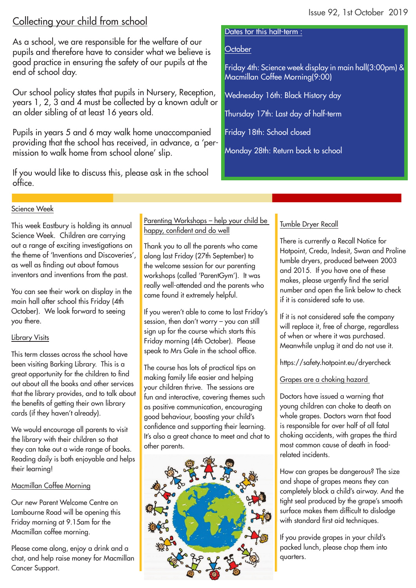# Collecting your child from school

As a school, we are responsible for the welfare of our pupils and therefore have to consider what we believe is good practice in ensuring the safety of our pupils at the end of school day.

Our school policy states that pupils in Nursery, Reception, years 1, 2, 3 and 4 must be collected by a known adult or an older sibling of at least 16 years old.

Pupils in years 5 and 6 may walk home unaccompanied providing that the school has received, in advance, a 'permission to walk home from school alone' slip.

If you would like to discuss this, please ask in the school office.

#### Dates for this half-term :

### **October**

Friday 4th: Science week display in main hall(3:00pm) & Macmillan Coffee Morning(9:00)

Wednesday 16th: Black History day

Thursday 17th: Last day of half-term

Friday 18th: School closed

Monday 28th: Return back to school

#### Science Week

This week Eastbury is holding its annual Science Week. Children are carrying out a range of exciting investigations on the theme of 'Inventions and Discoveries', as well as finding out about famous inventors and inventions from the past.

You can see their work on display in the main hall after school this Friday (4th October). We look forward to seeing you there.

#### Library Visits

This term classes across the school have been visiting Barking Library. This is a great opportunity for the children to find out about all the books and other services that the library provides, and to talk about the benefits of getting their own library cards (if they haven't already).

We would encourage all parents to visit the library with their children so that they can take out a wide range of books. Reading daily is both enjoyable and helps their learning!

### Macmillan Coffee Morning

Our new Parent Welcome Centre on Lambourne Road will be opening this Friday morning at 9.15am for the Macmillan coffee morning.

Please come along, enjoy a drink and a chat, and help raise money for Macmillan Cancer Support.

Parenting Workshops – help your child be happy, confident and do well

Thank you to all the parents who came along last Friday (27th September) to the welcome session for our parenting workshops (called 'ParentGym'). It was really well-attended and the parents who came found it extremely helpful.

If you weren't able to come to last Friday's session, then don't worry – you can still sign up for the course which starts this Friday morning (4th October). Please speak to Mrs Gale in the school office.

The course has lots of practical tips on making family life easier and helping your children thrive. The sessions are fun and interactive, covering themes such as positive communication, encouraging good behaviour, boosting your child's confidence and supporting their learning. It's also a great chance to meet and chat to other parents.



## Tumble Dryer Recall

There is currently a Recall Notice for Hotpoint, Creda, Indesit, Swan and Proline tumble dryers, produced between 2003 and 2015. If you have one of these makes, please urgently find the serial number and open the link below to check if it is considered safe to use.

If it is not considered safe the company will replace it, free of charge, regardless of when or where it was purchased. Meanwhile unplug it and do not use it.

https://safety.hotpoint.eu/dryercheck

Grapes are a choking hazard

Doctors have issued a warning that young children can choke to death on whole grapes. Doctors warn that food is responsible for over half of all fatal choking accidents, with grapes the third most common cause of death in foodrelated incidents.

How can grapes be dangerous? The size and shape of grapes means they can completely block a child's airway. And the tight seal produced by the grape's smooth surface makes them difficult to dislodge with standard first aid techniques.

If you provide grapes in your child's packed lunch, please chop them into quarters.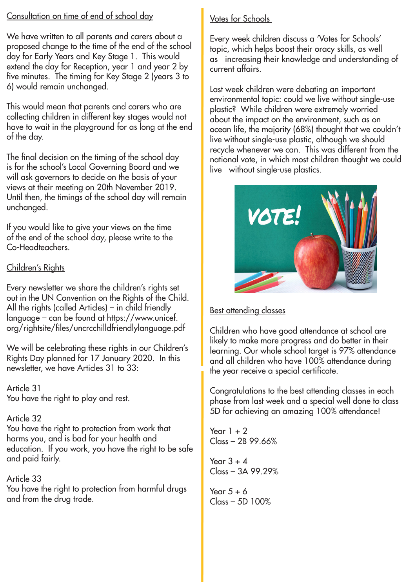## Consultation on time of end of school day

We have written to all parents and carers about a proposed change to the time of the end of the school day for Early Years and Key Stage 1. This would extend the day for Reception, year 1 and year 2 by five minutes. The timing for Key Stage 2 (years 3 to 6) would remain unchanged.

This would mean that parents and carers who are collecting children in different key stages would not have to wait in the playground for as long at the end of the day.

The final decision on the timing of the school day is for the school's Local Governing Board and we will ask governors to decide on the basis of your views at their meeting on 20th November 2019. Until then, the timings of the school day will remain unchanged.

If you would like to give your views on the time of the end of the school day, please write to the Co-Headteachers.

## Children's Rights

Every newsletter we share the children's rights set out in the UN Convention on the Rights of the Child. All the rights (called Articles) – in child friendly language – can be found at https://www.unicef. org/rightsite/files/uncrcchilldfriendlylanguage.pdf

We will be celebrating these rights in our Children's Rights Day planned for 17 January 2020. In this newsletter, we have Articles 31 to 33:

Article 31 You have the right to play and rest.

# Article 32

You have the right to protection from work that harms you, and is bad for your health and education. If you work, you have the right to be safe and paid fairly.

Article 33 You have the right to protection from harmful drugs and from the drug trade.

# Votes for Schools

topic, which helps boost their oracy skills, as well Every week children discuss a 'Votes for Schools' as increasing their knowledge and understanding of current affairs.

Last week children were debating an important environmental topic: could we live without single-use plastic? While children were extremely worried about the impact on the environment, such as on ocean life, the majority (68%) thought that we couldn't live without single-use plastic, although we should recycle whenever we can. This was different from the national vote, in which most children thought we could live without single-use plastics.



# **Best attending classes**

Children who have good attendance at school are likely to make more progress and do better in their learning. Our whole school target is 97% attendance and all children who have 100% attendance during the year receive a special certificate.

Congratulations to the best attending classes in each phase from last week and a special well done to class 5D for achieving an amazing 100% attendance!

Year  $1 + 2$  $Class - 2B 99.66%$ 

Year  $3 + 4$ Class – 3A 99.29%

Year  $5 + 6$ Class – 5D 100%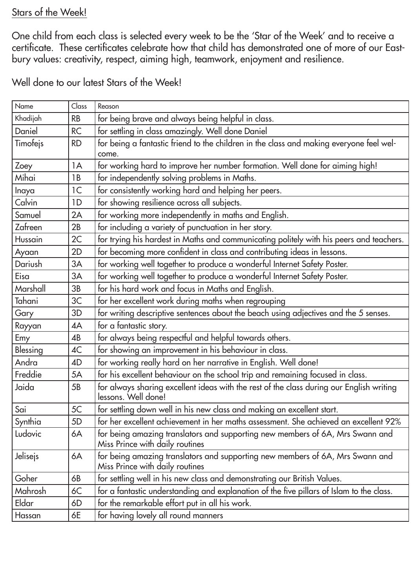# Stars of the Week!

One child from each class is selected every week to be the 'Star of the Week' and to receive a certificate. These certificates celebrate how that child has demonstrated one of more of our Eastbury values: creativity, respect, aiming high, teamwork, enjoyment and resilience.

Well done to our latest Stars of the Week!

| Name                  | Class          | Reason                                                                                                           |  |
|-----------------------|----------------|------------------------------------------------------------------------------------------------------------------|--|
| Khadijah              | <b>RB</b>      | for being brave and always being helpful in class.                                                               |  |
| Daniel                | <b>RC</b>      | for settling in class amazingly. Well done Daniel                                                                |  |
| Timofejs<br><b>RD</b> |                | for being a fantastic friend to the children in the class and making everyone feel wel-                          |  |
|                       |                | come.                                                                                                            |  |
| Zoey                  | 1A             | for working hard to improve her number formation. Well done for aiming high!                                     |  |
| Mihai                 | 1B             | for independently solving problems in Maths.                                                                     |  |
| Inaya                 | 1 <sup>C</sup> | for consistently working hard and helping her peers.                                                             |  |
| Calvin                | 1D             | for showing resilience across all subjects.                                                                      |  |
| Samuel                | 2A             | for working more independently in maths and English.                                                             |  |
| Zafreen               | 2B             | for including a variety of punctuation in her story.                                                             |  |
| Hussain               | 2C             | for trying his hardest in Maths and communicating politely with his peers and teachers.                          |  |
| Ayaan                 | 2D             | for becoming more confident in class and contributing ideas in lessons.                                          |  |
| Dariush               | 3A             | for working well together to produce a wonderful Internet Safety Poster.                                         |  |
| Eisa                  | 3A             | for working well together to produce a wonderful Internet Safety Poster.                                         |  |
| Marshall              | 3B             | for his hard work and focus in Maths and English.                                                                |  |
| Tahani                | 3C             | for her excellent work during maths when regrouping                                                              |  |
| Gary                  | 3D             | for writing descriptive sentences about the beach using adjectives and the 5 senses.                             |  |
| Rayyan                | 4A             | for a fantastic story.                                                                                           |  |
| Emy                   | 4B             | for always being respectful and helpful towards others.                                                          |  |
| Blessing              | 4C             | for showing an improvement in his behaviour in class.                                                            |  |
| Andra                 | 4D             | for working really hard on her narrative in English. Well done!                                                  |  |
| Freddie               | 5A             | for his excellent behaviour on the school trip and remaining focused in class.                                   |  |
| Jaida                 | 5B             | for always sharing excellent ideas with the rest of the class during our English writing<br>lessons. Well done!  |  |
| Sai                   | 5C             | for settling down well in his new class and making an excellent start.                                           |  |
| Synthia               | 5 <sub>D</sub> | for her excellent achievement in her maths assessment. She achieved an excellent 92%                             |  |
| Ludovic               | 6A             | for being amazing translators and supporting new members of 6A, Mrs Swann and<br>Miss Prince with daily routines |  |
| Jelisejs              | 6A             | for being amazing translators and supporting new members of 6A, Mrs Swann and<br>Miss Prince with daily routines |  |
| Goher                 | 6B             | for settling well in his new class and demonstrating our British Values.                                         |  |
| Mahrosh               | 6C             | for a fantastic understanding and explanation of the five pillars of Islam to the class.                         |  |
| Eldar                 | 6D             | for the remarkable effort put in all his work.                                                                   |  |
| Hassan                | 6E             | for having lovely all round manners                                                                              |  |